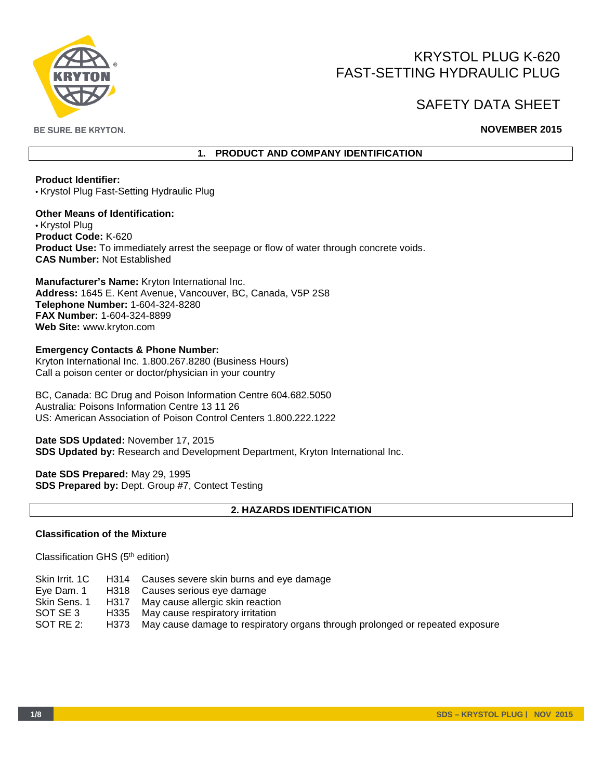

# KRYSTOL PLUG K-620 FAST-SETTING HYDRAULIC PLUG

# SAFETY DATA SHEET

**BE SURE. BE KRYTON.** 

# **NOVEMBER 2015**

# **1. PRODUCT AND COMPANY IDENTIFICATION**

**Product Identifier:**  • Krystol Plug Fast-Setting Hydraulic Plug

**Other Means of Identification:**  • Krystol Plug **Product Code:** K-620 **Product Use:** To immediately arrest the seepage or flow of water through concrete voids. **CAS Number:** Not Established

**Manufacturer's Name:** Kryton International Inc. **Address:** 1645 E. Kent Avenue, Vancouver, BC, Canada, V5P 2S8 **Telephone Number:** 1-604-324-8280 **FAX Number:** 1-604-324-8899 **Web Site:** www.kryton.com

**Emergency Contacts & Phone Number:**  Kryton International Inc. 1.800.267.8280 (Business Hours) Call a poison center or doctor/physician in your country

BC, Canada: BC Drug and Poison Information Centre 604.682.5050 Australia: Poisons Information Centre 13 11 26 US: American Association of Poison Control Centers 1.800.222.1222

**Date SDS Updated:** November 17, 2015 **SDS Updated by:** Research and Development Department, Kryton International Inc.

**Date SDS Prepared:** May 29, 1995 **SDS Prepared by:** Dept. Group #7, Contect Testing

# **2. HAZARDS IDENTIFICATION**

# **Classification of the Mixture**

Classification GHS (5th edition)

|              | Skin Irrit. 1C H314 Causes severe skin burns and eye damage                        |
|--------------|------------------------------------------------------------------------------------|
| Eye Dam. 1   | H318 Causes serious eye damage                                                     |
| Skin Sens. 1 | H317 May cause allergic skin reaction                                              |
| SOT SE 3     | H335 May cause respiratory irritation                                              |
| SOT RE 2:    | H373 May cause damage to respiratory organs through prolonged or repeated exposure |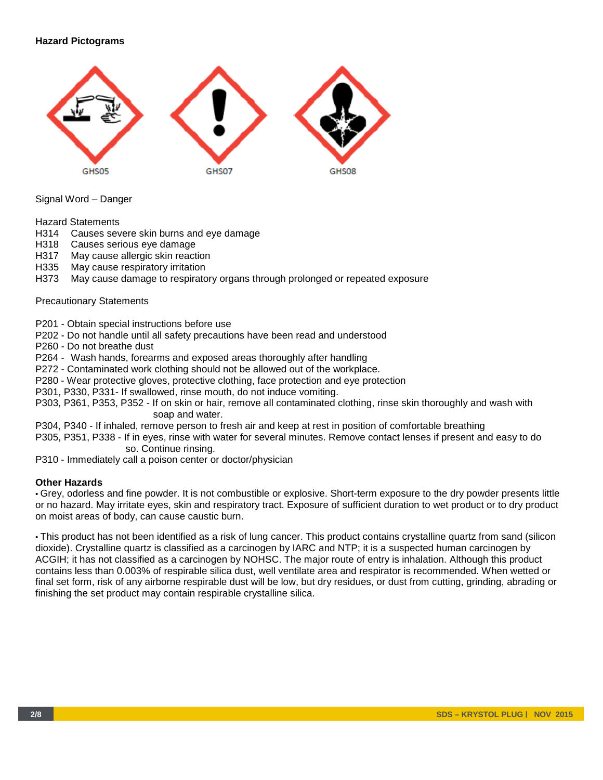# **Hazard Pictograms**



Signal Word – Danger

Hazard Statements

- H314 Causes severe skin burns and eye damage
- H318 Causes serious eye damage
- H317 May cause allergic skin reaction
- H335 May cause respiratory irritation
- H373 May cause damage to respiratory organs through prolonged or repeated exposure

#### Precautionary Statements

P201 - Obtain special instructions before use

P202 - Do not handle until all safety precautions have been read and understood

P260 - Do not breathe dust

P264 - Wash hands, forearms and exposed areas thoroughly after handling

P272 - Contaminated work clothing should not be allowed out of the workplace.

P280 - Wear protective gloves, protective clothing, face protection and eye protection

P301, P330, P331- If swallowed, rinse mouth, do not induce vomiting.

P303, P361, P353, P352 - If on skin or hair, remove all contaminated clothing, rinse skin thoroughly and wash with soap and water.

P304, P340 - If inhaled, remove person to fresh air and keep at rest in position of comfortable breathing

P305, P351, P338 - If in eyes, rinse with water for several minutes. Remove contact lenses if present and easy to do so. Continue rinsing.

P310 - Immediately call a poison center or doctor/physician

## **Other Hazards**

• Grey, odorless and fine powder. It is not combustible or explosive. Short-term exposure to the dry powder presents little or no hazard. May irritate eyes, skin and respiratory tract. Exposure of sufficient duration to wet product or to dry product on moist areas of body, can cause caustic burn.

• This product has not been identified as a risk of lung cancer. This product contains crystalline quartz from sand (silicon dioxide). Crystalline quartz is classified as a carcinogen by IARC and NTP; it is a suspected human carcinogen by ACGIH; it has not classified as a carcinogen by NOHSC. The major route of entry is inhalation. Although this product contains less than 0.003% of respirable silica dust, well ventilate area and respirator is recommended. When wetted or final set form, risk of any airborne respirable dust will be low, but dry residues, or dust from cutting, grinding, abrading or finishing the set product may contain respirable crystalline silica.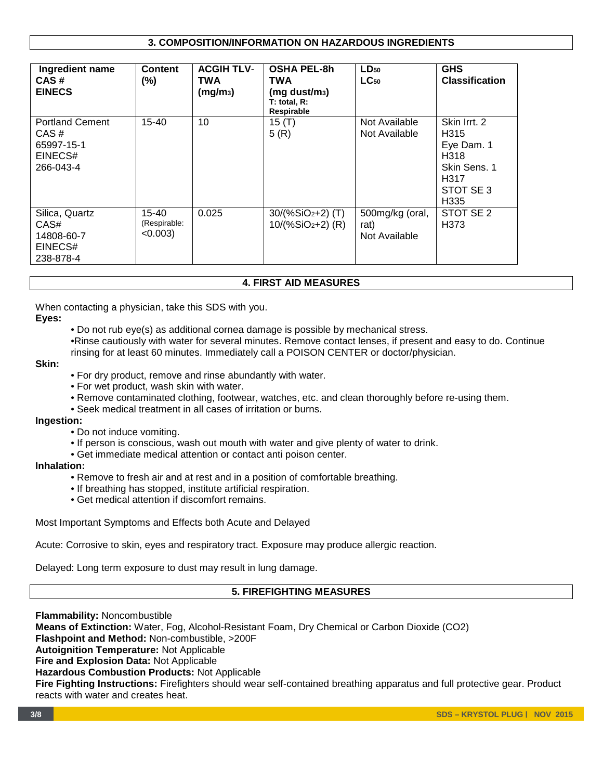# **3. COMPOSITION/INFORMATION ON HAZARDOUS INGREDIENTS**

| Ingredient name<br>CAS#<br><b>EINECS</b>                             | <b>Content</b><br>$(\%)$             | <b>ACGIH TLV-</b><br><b>TWA</b><br>(mg/m <sub>3</sub> ) | <b>OSHA PEL-8h</b><br>TWA<br>$(mq \text{ dust/m}_3)$<br>$T:$ total, $R:$<br>Respirable | $LD_{50}$<br>$LC_{50}$                   | <b>GHS</b><br><b>Classification</b>                                                                |
|----------------------------------------------------------------------|--------------------------------------|---------------------------------------------------------|----------------------------------------------------------------------------------------|------------------------------------------|----------------------------------------------------------------------------------------------------|
| <b>Portland Cement</b><br>CAS#<br>65997-15-1<br>EINECS#<br>266-043-4 | $15 - 40$                            | 10                                                      | 15 $(T)$<br>5(R)                                                                       | Not Available<br>Not Available           | Skin Irrt. 2<br>H <sub>315</sub><br>Eye Dam. 1<br>H318<br>Skin Sens. 1<br>H317<br>STOT SE3<br>H335 |
| Silica, Quartz<br>CAS#<br>14808-60-7<br>EINECS#<br>238-878-4         | 15-40<br>(Respirable:<br>$< 0.003$ ) | 0.025                                                   | $30/(%SiO2+2)$ (T)<br>10/(%SiO2+2) (R)                                                 | 500mg/kg (oral,<br>rat)<br>Not Available | STOT SE 2<br>H373                                                                                  |

## **4. FIRST AID MEASURES**

When contacting a physician, take this SDS with you.

# **Eyes:**

• Do not rub eye(s) as additional cornea damage is possible by mechanical stress.

•Rinse cautiously with water for several minutes. Remove contact lenses, if present and easy to do. Continue rinsing for at least 60 minutes. Immediately call a POISON CENTER or doctor/physician.

# **Skin:**

- For dry product, remove and rinse abundantly with water.
- For wet product, wash skin with water.
- Remove contaminated clothing, footwear, watches, etc. and clean thoroughly before re-using them.
- Seek medical treatment in all cases of irritation or burns.

#### **Ingestion:**

- Do not induce vomiting.
- If person is conscious, wash out mouth with water and give plenty of water to drink.
- Get immediate medical attention or contact anti poison center.

# **Inhalation:**

- Remove to fresh air and at rest and in a position of comfortable breathing.
- If breathing has stopped, institute artificial respiration.
- Get medical attention if discomfort remains.

Most Important Symptoms and Effects both Acute and Delayed

Acute: Corrosive to skin, eyes and respiratory tract. Exposure may produce allergic reaction.

Delayed: Long term exposure to dust may result in lung damage.

## **5. FIREFIGHTING MEASURES**

**Flammability:** Noncombustible **Means of Extinction:** Water, Fog, Alcohol-Resistant Foam, Dry Chemical or Carbon Dioxide (CO2) **Flashpoint and Method:** Non-combustible, >200F **Autoignition Temperature:** Not Applicable **Fire and Explosion Data:** Not Applicable **Hazardous Combustion Products:** Not Applicable **Fire Fighting Instructions:** Firefighters should wear self-contained breathing apparatus and full protective gear. Product reacts with water and creates heat.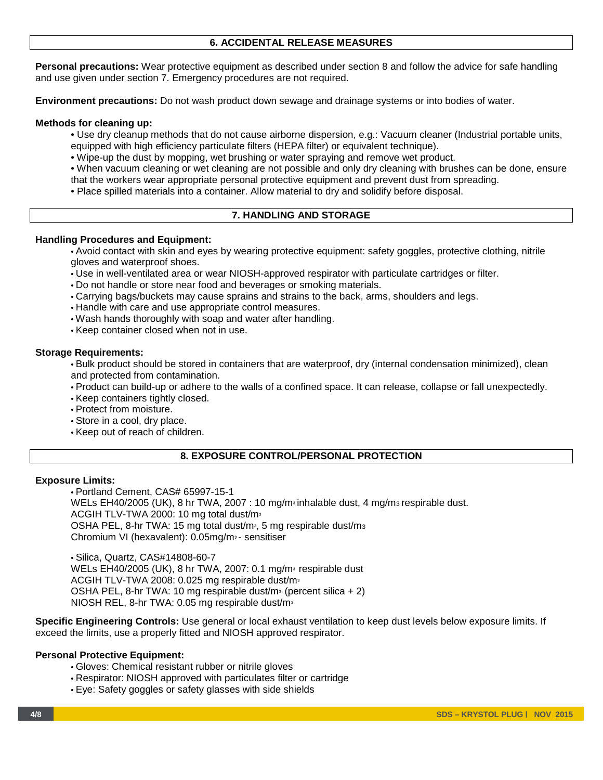# **6. ACCIDENTAL RELEASE MEASURES**

**Personal precautions:** Wear protective equipment as described under section 8 and follow the advice for safe handling and use given under section 7. Emergency procedures are not required.

**Environment precautions:** Do not wash product down sewage and drainage systems or into bodies of water.

#### **Methods for cleaning up:**

- Use dry cleanup methods that do not cause airborne dispersion, e.g.: Vacuum cleaner (Industrial portable units,
- equipped with high efficiency particulate filters (HEPA filter) or equivalent technique).
- Wipe-up the dust by mopping, wet brushing or water spraying and remove wet product.
- When vacuum cleaning or wet cleaning are not possible and only dry cleaning with brushes can be done, ensure that the workers wear appropriate personal protective equipment and prevent dust from spreading.
- Place spilled materials into a container. Allow material to dry and solidify before disposal.

#### **7. HANDLING AND STORAGE**

#### **Handling Procedures and Equipment:**

• Avoid contact with skin and eyes by wearing protective equipment: safety goggles, protective clothing, nitrile gloves and waterproof shoes.

- Use in well-ventilated area or wear NIOSH-approved respirator with particulate cartridges or filter.
- Do not handle or store near food and beverages or smoking materials.
- Carrying bags/buckets may cause sprains and strains to the back, arms, shoulders and legs.
- Handle with care and use appropriate control measures.
- Wash hands thoroughly with soap and water after handling.
- Keep container closed when not in use.

#### **Storage Requirements:**

• Bulk product should be stored in containers that are waterproof, dry (internal condensation minimized), clean and protected from contamination.

• Product can build-up or adhere to the walls of a confined space. It can release, collapse or fall unexpectedly.

- Keep containers tightly closed.
- Protect from moisture.
- Store in a cool, dry place.
- Keep out of reach of children.

# **8. EXPOSURE CONTROL/PERSONAL PROTECTION**

#### **Exposure Limits:**

• Portland Cement, CAS# 65997-15-1 WELs EH40/2005 (UK), 8 hr TWA, 2007 : 10 mg/m $\frac{1}{2}$  inhalable dust, 4 mg/m $\frac{1}{2}$  respirable dust. ACGIH TLV-TWA 2000: 10 mg total dust/m<sup>3</sup> OSHA PEL, 8-hr TWA: 15 mg total dust/m<sup>3</sup>, 5 mg respirable dust/m<sup>3</sup> Chromium VI (hexavalent): 0.05mg/m<sup>3</sup> - sensitiser

• Silica, Quartz, CAS#14808-60-7 WELs EH40/2005 (UK), 8 hr TWA, 2007: 0.1 mg/m<sup>3</sup> respirable dust ACGIH TLV-TWA 2008: 0.025 mg respirable dust/m<sup>3</sup> OSHA PEL, 8-hr TWA: 10 mg respirable dust/m<sup>3</sup> (percent silica  $+ 2$ ) NIOSH REL, 8-hr TWA: 0.05 mg respirable dust/m<sup>3</sup>

**Specific Engineering Controls:** Use general or local exhaust ventilation to keep dust levels below exposure limits. If exceed the limits, use a properly fitted and NIOSH approved respirator.

# **Personal Protective Equipment:**

- Gloves: Chemical resistant rubber or nitrile gloves
- Respirator: NIOSH approved with particulates filter or cartridge
- Eye: Safety goggles or safety glasses with side shields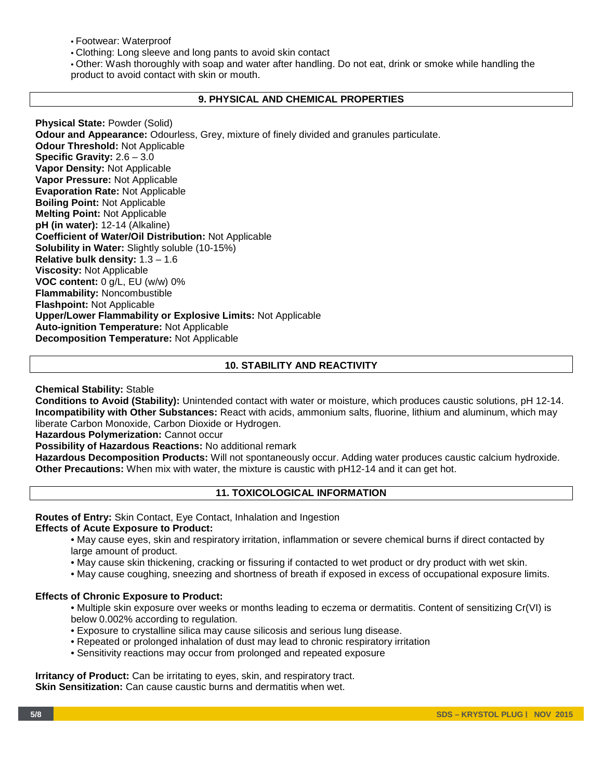• Footwear: Waterproof

• Clothing: Long sleeve and long pants to avoid skin contact

• Other: Wash thoroughly with soap and water after handling. Do not eat, drink or smoke while handling the product to avoid contact with skin or mouth.

## **9. PHYSICAL AND CHEMICAL PROPERTIES**

**Physical State:** Powder (Solid) **Odour and Appearance:** Odourless, Grey, mixture of finely divided and granules particulate. **Odour Threshold:** Not Applicable **Specific Gravity:** 2.6 – 3.0 **Vapor Density:** Not Applicable **Vapor Pressure:** Not Applicable **Evaporation Rate:** Not Applicable **Boiling Point:** Not Applicable **Melting Point:** Not Applicable **pH (in water):** 12-14 (Alkaline) **Coefficient of Water/Oil Distribution:** Not Applicable **Solubility in Water:** Slightly soluble (10-15%) **Relative bulk density:** 1.3 – 1.6 **Viscosity:** Not Applicable **VOC content:** 0 g/L, EU (w/w) 0% **Flammability:** Noncombustible **Flashpoint:** Not Applicable **Upper/Lower Flammability or Explosive Limits:** Not Applicable **Auto-ignition Temperature:** Not Applicable **Decomposition Temperature:** Not Applicable

# **10. STABILITY AND REACTIVITY**

**Chemical Stability:** Stable

**Conditions to Avoid (Stability):** Unintended contact with water or moisture, which produces caustic solutions, pH 12-14. **Incompatibility with Other Substances:** React with acids, ammonium salts, fluorine, lithium and aluminum, which may liberate Carbon Monoxide, Carbon Dioxide or Hydrogen.

**Hazardous Polymerization:** Cannot occur

**Possibility of Hazardous Reactions:** No additional remark

**Hazardous Decomposition Products:** Will not spontaneously occur. Adding water produces caustic calcium hydroxide. **Other Precautions:** When mix with water, the mixture is caustic with pH12-14 and it can get hot.

## **11. TOXICOLOGICAL INFORMATION**

**Routes of Entry:** Skin Contact, Eye Contact, Inhalation and Ingestion

## **Effects of Acute Exposure to Product:**

- May cause eyes, skin and respiratory irritation, inflammation or severe chemical burns if direct contacted by large amount of product.
- May cause skin thickening, cracking or fissuring if contacted to wet product or dry product with wet skin.
- May cause coughing, sneezing and shortness of breath if exposed in excess of occupational exposure limits.

## **Effects of Chronic Exposure to Product:**

• Multiple skin exposure over weeks or months leading to eczema or dermatitis. Content of sensitizing Cr(VI) is below 0.002% according to regulation.

- Exposure to crystalline silica may cause silicosis and serious lung disease.
- Repeated or prolonged inhalation of dust may lead to chronic respiratory irritation
- Sensitivity reactions may occur from prolonged and repeated exposure

**Irritancy of Product:** Can be irritating to eyes, skin, and respiratory tract. **Skin Sensitization:** Can cause caustic burns and dermatitis when wet.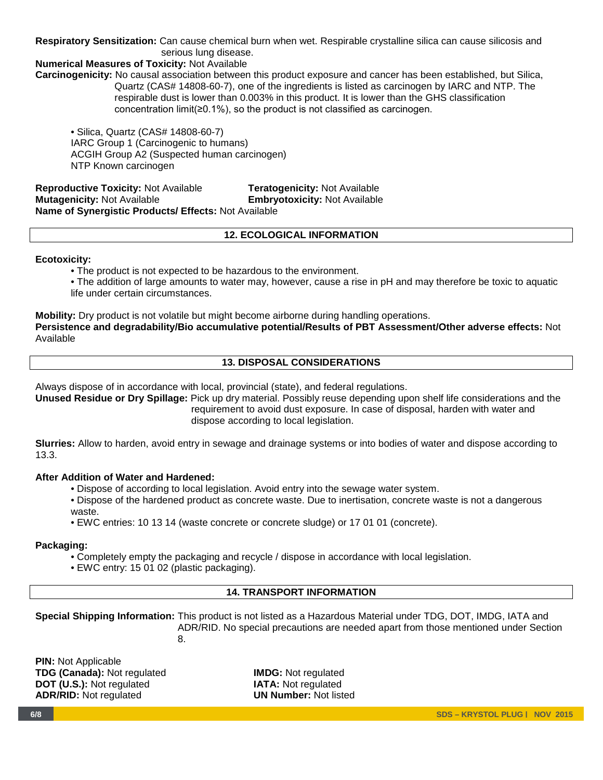# **Respiratory Sensitization:** Can cause chemical burn when wet. Respirable crystalline silica can cause silicosis and serious lung disease.

# **Numerical Measures of Toxicity:** Not Available

**Carcinogenicity:** No causal association between this product exposure and cancer has been established, but Silica, Quartz (CAS# 14808-60-7), one of the ingredients is listed as carcinogen by IARC and NTP. The respirable dust is lower than 0.003% in this product. It is lower than the GHS classification concentration limit(≥0.1%), so the product is not classified as carcinogen.

• Silica, Quartz (CAS# 14808-60-7) IARC Group 1 (Carcinogenic to humans) ACGIH Group A2 (Suspected human carcinogen) NTP Known carcinogen

**Reproductive Toxicity:** Not Available **Teratogenicity:** Not Available **Embryotoxicity: Not Available Name of Synergistic Products/ Effects:** Not Available

# **12. ECOLOGICAL INFORMATION**

## **Ecotoxicity:**

• The product is not expected to be hazardous to the environment.

• The addition of large amounts to water may, however, cause a rise in pH and may therefore be toxic to aquatic life under certain circumstances.

**Mobility:** Dry product is not volatile but might become airborne during handling operations.

**Persistence and degradability/Bio accumulative potential/Results of PBT Assessment/Other adverse effects:** Not Available

# **13. DISPOSAL CONSIDERATIONS**

Always dispose of in accordance with local, provincial (state), and federal regulations.

**Unused Residue or Dry Spillage:** Pick up dry material. Possibly reuse depending upon shelf life considerations and the requirement to avoid dust exposure. In case of disposal, harden with water and dispose according to local legislation.

**Slurries:** Allow to harden, avoid entry in sewage and drainage systems or into bodies of water and dispose according to 13.3.

## **After Addition of Water and Hardened:**

- Dispose of according to local legislation. Avoid entry into the sewage water system.
- Dispose of the hardened product as concrete waste. Due to inertisation, concrete waste is not a dangerous waste.
- EWC entries: 10 13 14 (waste concrete or concrete sludge) or 17 01 01 (concrete).

## **Packaging:**

- Completely empty the packaging and recycle / dispose in accordance with local legislation.
- EWC entry: 15 01 02 (plastic packaging).

# **14. TRANSPORT INFORMATION**

**Special Shipping Information:** This product is not listed as a Hazardous Material under TDG, DOT, IMDG, IATA and ADR/RID. No special precautions are needed apart from those mentioned under Section

entrante de la construction de la proponent de la proponent de la proponent de la proponent de la proponent de<br>En 1888, la proponent de la proponent de la proponent de la proponent de la proponent de la proponent de la pr

**PIN:** Not Applicable **TDG (Canada):** Not regulated **IMDG:** Not regulated **DOT (U.S.):** Not regulated **IATA:** Not regulated **IATA:** Not regulated **INDITIES ADR/RID: Not regulated**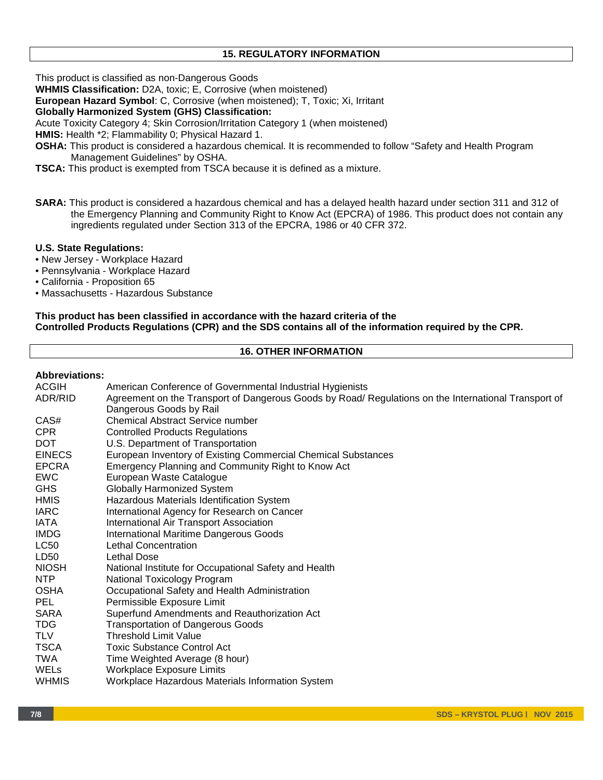# **15. REGULATORY INFORMATION**

This product is classified as non-Dangerous Goods

**WHMIS Classification:** D2A, toxic; E, Corrosive (when moistened)

**European Hazard Symbol**: C, Corrosive (when moistened); T, Toxic; Xi, Irritant

**Globally Harmonized System (GHS) Classification:** 

Acute Toxicity Category 4; Skin Corrosion/Irritation Category 1 (when moistened)

**HMIS:** Health \*2; Flammability 0; Physical Hazard 1.

- **OSHA:** This product is considered a hazardous chemical. It is recommended to follow "Safety and Health Program Management Guidelines" by OSHA.
- **TSCA:** This product is exempted from TSCA because it is defined as a mixture.
- **SARA:** This product is considered a hazardous chemical and has a delayed health hazard under section 311 and 312 of the Emergency Planning and Community Right to Know Act (EPCRA) of 1986. This product does not contain any ingredients regulated under Section 313 of the EPCRA, 1986 or 40 CFR 372.

#### **U.S. State Regulations:**

- New Jersey Workplace Hazard
- Pennsylvania Workplace Hazard
- California Proposition 65
- Massachusetts Hazardous Substance

## **This product has been classified in accordance with the hazard criteria of the Controlled Products Regulations (CPR) and the SDS contains all of the information required by the CPR.**

#### **16. OTHER INFORMATION**

#### **Abbreviations:**

| Abbreviations:   |                                                                                                      |  |  |  |  |
|------------------|------------------------------------------------------------------------------------------------------|--|--|--|--|
| <b>ACGIH</b>     | American Conference of Governmental Industrial Hygienists                                            |  |  |  |  |
| ADR/RID          | Agreement on the Transport of Dangerous Goods by Road/ Regulations on the International Transport of |  |  |  |  |
|                  | Dangerous Goods by Rail                                                                              |  |  |  |  |
| CAS#             | <b>Chemical Abstract Service number</b>                                                              |  |  |  |  |
| <b>CPR</b>       | <b>Controlled Products Regulations</b>                                                               |  |  |  |  |
| <b>DOT</b>       | U.S. Department of Transportation                                                                    |  |  |  |  |
| <b>EINECS</b>    | European Inventory of Existing Commercial Chemical Substances                                        |  |  |  |  |
| <b>EPCRA</b>     | Emergency Planning and Community Right to Know Act                                                   |  |  |  |  |
| <b>EWC</b>       | European Waste Catalogue                                                                             |  |  |  |  |
| <b>GHS</b>       | <b>Globally Harmonized System</b>                                                                    |  |  |  |  |
| <b>HMIS</b>      | Hazardous Materials Identification System                                                            |  |  |  |  |
| <b>IARC</b>      | International Agency for Research on Cancer                                                          |  |  |  |  |
| IATA             | International Air Transport Association                                                              |  |  |  |  |
| <b>IMDG</b>      | <b>International Maritime Dangerous Goods</b>                                                        |  |  |  |  |
| <b>LC50</b>      | Lethal Concentration                                                                                 |  |  |  |  |
| LD <sub>50</sub> | Lethal Dose                                                                                          |  |  |  |  |
| <b>NIOSH</b>     | National Institute for Occupational Safety and Health                                                |  |  |  |  |
| <b>NTP</b>       | National Toxicology Program                                                                          |  |  |  |  |
| <b>OSHA</b>      | Occupational Safety and Health Administration                                                        |  |  |  |  |
| <b>PEL</b>       | Permissible Exposure Limit                                                                           |  |  |  |  |
| SARA             | Superfund Amendments and Reauthorization Act                                                         |  |  |  |  |
| <b>TDG</b>       | <b>Transportation of Dangerous Goods</b>                                                             |  |  |  |  |
| <b>TLV</b>       | <b>Threshold Limit Value</b>                                                                         |  |  |  |  |
| <b>TSCA</b>      | <b>Toxic Substance Control Act</b>                                                                   |  |  |  |  |
| TWA              | Time Weighted Average (8 hour)                                                                       |  |  |  |  |
| WELs             | Workplace Exposure Limits                                                                            |  |  |  |  |
| WHMIS            | Workplace Hazardous Materials Information System                                                     |  |  |  |  |